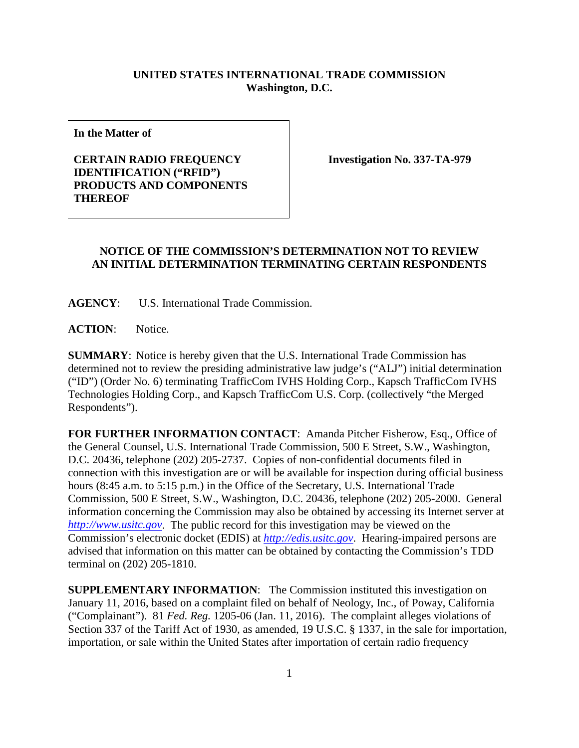## **UNITED STATES INTERNATIONAL TRADE COMMISSION Washington, D.C.**

**In the Matter of**

## **CERTAIN RADIO FREQUENCY IDENTIFICATION ("RFID") PRODUCTS AND COMPONENTS THEREOF**

**Investigation No. 337-TA-979**

## **NOTICE OF THE COMMISSION'S DETERMINATION NOT TO REVIEW AN INITIAL DETERMINATION TERMINATING CERTAIN RESPONDENTS**

**AGENCY**: U.S. International Trade Commission.

**ACTION**: Notice.

**SUMMARY**: Notice is hereby given that the U.S. International Trade Commission has determined not to review the presiding administrative law judge's ("ALJ") initial determination ("ID") (Order No. 6) terminating TrafficCom IVHS Holding Corp., Kapsch TrafficCom IVHS Technologies Holding Corp., and Kapsch TrafficCom U.S. Corp. (collectively "the Merged Respondents").

**FOR FURTHER INFORMATION CONTACT**: Amanda Pitcher Fisherow, Esq., Office of the General Counsel, U.S. International Trade Commission, 500 E Street, S.W., Washington, D.C. 20436, telephone (202) 205-2737. Copies of non-confidential documents filed in connection with this investigation are or will be available for inspection during official business hours (8:45 a.m. to 5:15 p.m.) in the Office of the Secretary, U.S. International Trade Commission, 500 E Street, S.W., Washington, D.C. 20436, telephone (202) 205-2000. General information concerning the Commission may also be obtained by accessing its Internet server at *[http://www.usitc.gov](http://www.usitc.gov/)*. The public record for this investigation may be viewed on the Commission's electronic docket (EDIS) at *[http://edis.usitc.gov](http://edis.usitc.gov/)*. Hearing-impaired persons are advised that information on this matter can be obtained by contacting the Commission's TDD terminal on (202) 205-1810.

**SUPPLEMENTARY INFORMATION**: The Commission instituted this investigation on January 11, 2016, based on a complaint filed on behalf of Neology, Inc., of Poway, California ("Complainant"). 81 *Fed. Reg.* 1205-06 (Jan. 11, 2016). The complaint alleges violations of Section 337 of the Tariff Act of 1930, as amended, 19 U.S.C. § 1337, in the sale for importation, importation, or sale within the United States after importation of certain radio frequency